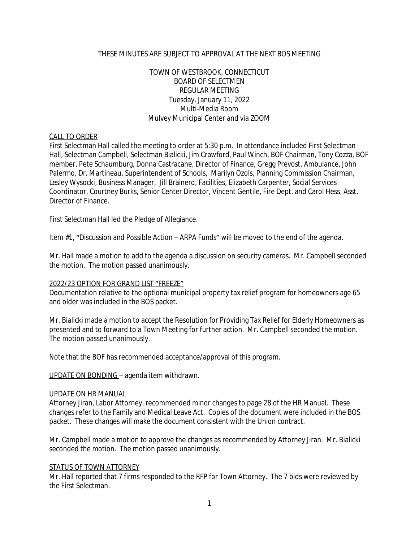### THESE MINUTES ARE SUBJECT TO APPROVAL AT THE NEXT BOS MEETING

## TOWN OF WESTBROOK, CONNECTICUT BOARD OF SELECTMEN REGULAR MEETING Tuesday, January 11, 2022 Multi-Media Room Mulvey Municipal Center and via ZOOM

#### CALL TO ORDER

First Selectman Hall called the meeting to order at 5:30 p.m. In attendance included First Selectman Hall, Selectman Campbell, Selectman Bialicki, Jim Crawford, Paul Winch, BOF Chairman, Tony Cozza, BOF member, Pete Schaumburg, Donna Castracane, Director of Finance, Gregg Prevost, Ambulance, John Palermo, Dr. Martineau, Superintendent of Schools, Marilyn Ozols, Planning Commission Chairman, Lesley Wysocki, Business Manager, Jill Brainerd, Facilities, Elizabeth Carpenter, Social Services Coordinator, Courtney Burks, Senior Center Director, Vincent Gentile, Fire Dept. and Carol Hess, Asst. Director of Finance.

First Selectman Hall led the Pledge of Allegiance.

Item #1, "Discussion and Possible Action – ARPA Funds" will be moved to the end of the agenda.

Mr. Hall made a motion to add to the agenda a discussion on security cameras. Mr. Campbell seconded the motion. The motion passed unanimously.

#### 2022/23 OPTION FOR GRAND LIST "FREEZE"

Documentation relative to the optional municipal property tax relief program for homeowners age 65 and older was included in the BOS packet.

Mr. Bialicki made a motion to accept the Resolution for Providing Tax Relief for Elderly Homeowners as presented and to forward to a Town Meeting for further action. Mr. Campbell seconded the motion. The motion passed unanimously.

Note that the BOF has recommended acceptance/approval of this program.

UPDATE ON BONDING – agenda item withdrawn.

#### UPDATE ON HR MANUAL

Attorney Jiran, Labor Attorney, recommended minor changes to page 28 of the HR Manual. These changes refer to the Family and Medical Leave Act. Copies of the document were included in the BOS packet. These changes will make the document consistent with the Union contract.

Mr. Campbell made a motion to approve the changes as recommended by Attorney Jiran. Mr. Bialicki seconded the motion. The motion passed unanimously.

#### STATUS OF TOWN ATTORNEY

Mr. Hall reported that 7 firms responded to the RFP for Town Attorney. The 7 bids were reviewed by the First Selectman.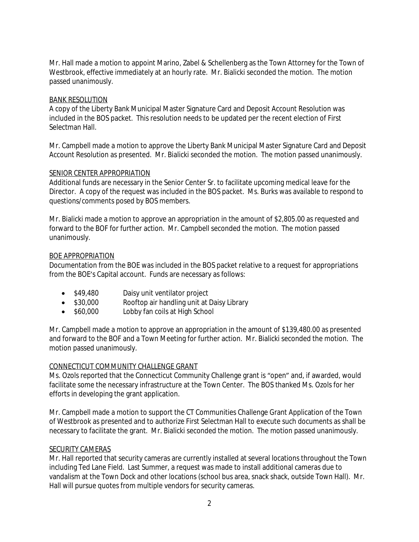Mr. Hall made a motion to appoint Marino, Zabel & Schellenberg as the Town Attorney for the Town of Westbrook, effective immediately at an hourly rate. Mr. Bialicki seconded the motion. The motion passed unanimously.

#### BANK RESOLUTION

A copy of the Liberty Bank Municipal Master Signature Card and Deposit Account Resolution was included in the BOS packet. This resolution needs to be updated per the recent election of First Selectman Hall.

Mr. Campbell made a motion to approve the Liberty Bank Municipal Master Signature Card and Deposit Account Resolution as presented. Mr. Bialicki seconded the motion. The motion passed unanimously.

#### SENIOR CENTER APPROPRIATION

Additional funds are necessary in the Senior Center Sr. to facilitate upcoming medical leave for the Director. A copy of the request was included in the BOS packet. Ms. Burks was available to respond to questions/comments posed by BOS members.

Mr. Bialicki made a motion to approve an appropriation in the amount of \$2,805.00 as requested and forward to the BOF for further action. Mr. Campbell seconded the motion. The motion passed unanimously.

#### BOE APPROPRIATION

Documentation from the BOE was included in the BOS packet relative to a request for appropriations from the BOE's Capital account. Funds are necessary as follows:

- \$49,480 Daisy unit ventilator project
- \$30,000 Rooftop air handling unit at Daisy Library
- \$60,000 Lobby fan coils at High School

Mr. Campbell made a motion to approve an appropriation in the amount of \$139,480.00 as presented and forward to the BOF and a Town Meeting for further action. Mr. Bialicki seconded the motion. The motion passed unanimously.

## CONNECTICUT COMMUNITY CHALLENGE GRANT

Ms. Ozols reported that the Connecticut Community Challenge grant is "open" and, if awarded, would facilitate some the necessary infrastructure at the Town Center. The BOS thanked Ms. Ozols for her efforts in developing the grant application.

Mr. Campbell made a motion to support the CT Communities Challenge Grant Application of the Town of Westbrook as presented and to authorize First Selectman Hall to execute such documents as shall be necessary to facilitate the grant. Mr. Bialicki seconded the motion. The motion passed unanimously.

#### SECURITY CAMERAS

Mr. Hall reported that security cameras are currently installed at several locations throughout the Town including Ted Lane Field. Last Summer, a request was made to install additional cameras due to vandalism at the Town Dock and other locations (school bus area, snack shack, outside Town Hall). Mr. Hall will pursue quotes from multiple vendors for security cameras.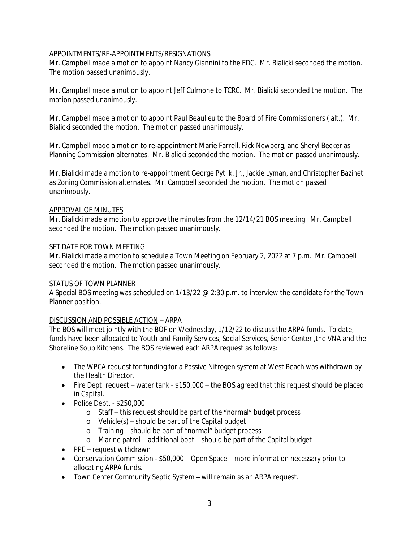# APPOINTMENTS/RE-APPOINTMENTS/RESIGNATIONS

Mr. Campbell made a motion to appoint Nancy Giannini to the EDC. Mr. Bialicki seconded the motion. The motion passed unanimously.

Mr. Campbell made a motion to appoint Jeff Culmone to TCRC. Mr. Bialicki seconded the motion. The motion passed unanimously.

Mr. Campbell made a motion to appoint Paul Beaulieu to the Board of Fire Commissioners ( alt.). Mr. Bialicki seconded the motion. The motion passed unanimously.

Mr. Campbell made a motion to re-appointment Marie Farrell, Rick Newberg, and Sheryl Becker as Planning Commission alternates. Mr. Bialicki seconded the motion. The motion passed unanimously.

Mr. Bialicki made a motion to re-appointment George Pytlik, Jr., Jackie Lyman, and Christopher Bazinet as Zoning Commission alternates. Mr. Campbell seconded the motion. The motion passed unanimously.

## APPROVAL OF MINUTES

Mr. Bialicki made a motion to approve the minutes from the 12/14/21 BOS meeting. Mr. Campbell seconded the motion. The motion passed unanimously.

## SET DATE FOR TOWN MEETING

Mr. Bialicki made a motion to schedule a Town Meeting on February 2, 2022 at 7 p.m. Mr. Campbell seconded the motion. The motion passed unanimously.

## STATUS OF TOWN PLANNER

A Special BOS meeting was scheduled on 1/13/22 @ 2:30 p.m. to interview the candidate for the Town Planner position.

## DISCUSSION AND POSSIBLE ACTION – ARPA

The BOS will meet jointly with the BOF on Wednesday, 1/12/22 to discuss the ARPA funds. To date, funds have been allocated to Youth and Family Services, Social Services, Senior Center ,the VNA and the Shoreline Soup Kitchens. The BOS reviewed each ARPA request as follows:

- The WPCA request for funding for a Passive Nitrogen system at West Beach was withdrawn by the Health Director.
- Fire Dept. request water tank \$150,000 the BOS agreed that this request should be placed in Capital.
- Police Dept. \$250,000
	- o Staff this request should be part of the "normal" budget process
	- o Vehicle(s) should be part of the Capital budget
	- o Training should be part of "normal" budget process
	- o Marine patrol additional boat should be part of the Capital budget
- PPE request withdrawn
- Conservation Commission \$50,000 Open Space more information necessary prior to allocating ARPA funds.
- Town Center Community Septic System will remain as an ARPA request.